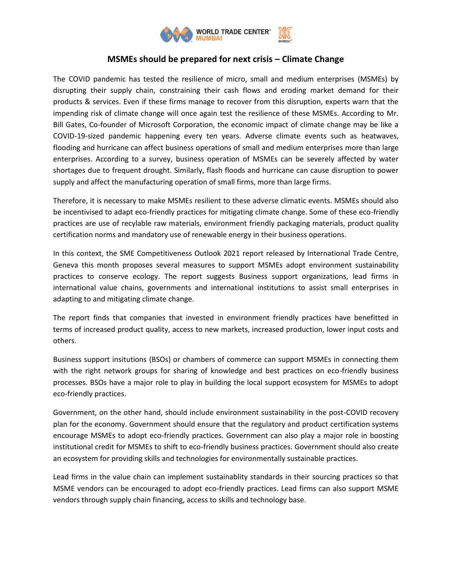

## **MSMEs should be prepared for next crisis – Climate Change**

The COVID pandemic has tested the resilience of micro, small and medium enterprises (MSMEs) by disrupting their supply chain, constraining their cash flows and eroding market demand for their products & services. Even if these firms manage to recover from this disruption, experts warn that the impending risk of climate change will once again test the resilience of these MSMEs. According to Mr. Bill Gates, Co-founder of Microsoft Corporation, the economic impact of climate change may be like a COVID-19-sized pandemic happening every ten years. Adverse climate events such as heatwaves, flooding and hurricane can affect business operations of small and medium enterprises more than large enterprises. According to a survey, business operation of MSMEs can be severely affected by water shortages due to frequent drought. Similarly, flash floods and hurricane can cause disruption to power supply and affect the manufacturing operation of small firms, more than large firms.

Therefore, it is necessary to make MSMEs resilient to these adverse climatic events. MSMEs should also be incentivised to adapt eco-friendly practices for mitigating climate change. Some of these eco-friendly practices are use of recylable raw materials, environment friendly packaging materials, product quality certification norms and mandatory use of renewable energy in their business operations.

In this context, the SME Competitiveness Outlook 2021 report released by International Trade Centre, Geneva this month proposes several measures to support MSMEs adopt environment sustainability practices to conserve ecology. The report suggests Business support organizations, lead firms in international value chains, governments and international institutions to assist small enterprises in adapting to and mitigating climate change.

The report finds that companies that invested in environment friendly practices have benefitted in terms of increased product quality, access to new markets, increased production, lower input costs and others.

Business support insitutions (BSOs) or chambers of commerce can support MSMEs in connecting them with the right network groups for sharing of knowledge and best practices on eco-friendly business processes. BSOs have a major role to play in building the local support ecosystem for MSMEs to adopt eco-friendly practices.

Government, on the other hand, should include environment sustainability in the post-COVID recovery plan for the economy. Government should ensure that the regulatory and product certification systems encourage MSMEs to adopt eco-friendly practices. Government can also play a major role in boosting institutional credit for MSMEs to shift to eco-friendly business practices. Government should also create an ecosystem for providing skills and technologies for environmentally sustainable practices.

Lead firms in the value chain can implement sustainablity standards in their sourcing practices so that MSME vendors can be encouraged to adopt eco-friendly practices. Lead firms can also support MSME vendors through supply chain financing, access to skills and technology base.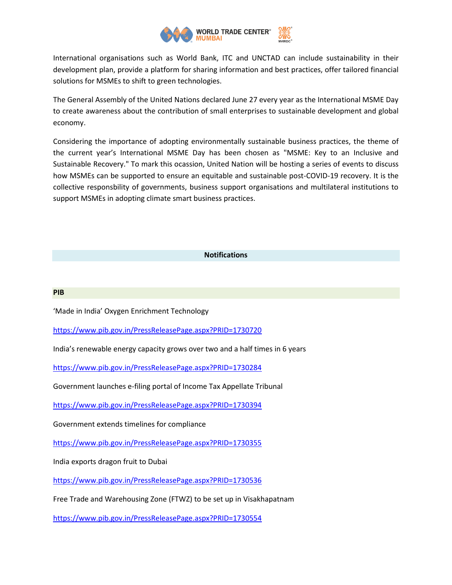

International organisations such as World Bank, ITC and UNCTAD can include sustainability in their development plan, provide a platform for sharing information and best practices, offer tailored financial solutions for MSMEs to shift to green technologies.

The General Assembly of the United Nations declared June 27 every year as the International MSME Day to create awareness about the contribution of small enterprises to sustainable development and global economy.

Considering the importance of adopting environmentally sustainable business practices, the theme of the current year's International MSME Day has been chosen as "MSME: Key to an Inclusive and Sustainable Recovery." To mark this ocassion, United Nation will be hosting a series of events to discuss how MSMEs can be supported to ensure an equitable and sustainable post-COVID-19 recovery. It is the collective responsbility of governments, business support organisations and multilateral institutions to support MSMEs in adopting climate smart business practices.

## **Notifications**

## **PIB**

'Made in India' Oxygen Enrichment Technology

<https://www.pib.gov.in/PressReleasePage.aspx?PRID=1730720>

India's renewable energy capacity grows over two and a half times in 6 years

<https://www.pib.gov.in/PressReleasePage.aspx?PRID=1730284>

Government launches e-filing portal of Income Tax Appellate Tribunal

<https://www.pib.gov.in/PressReleasePage.aspx?PRID=1730394>

Government extends timelines for compliance

<https://www.pib.gov.in/PressReleasePage.aspx?PRID=1730355>

India exports dragon fruit to Dubai

<https://www.pib.gov.in/PressReleasePage.aspx?PRID=1730536>

Free Trade and Warehousing Zone (FTWZ) to be set up in Visakhapatnam

<https://www.pib.gov.in/PressReleasePage.aspx?PRID=1730554>